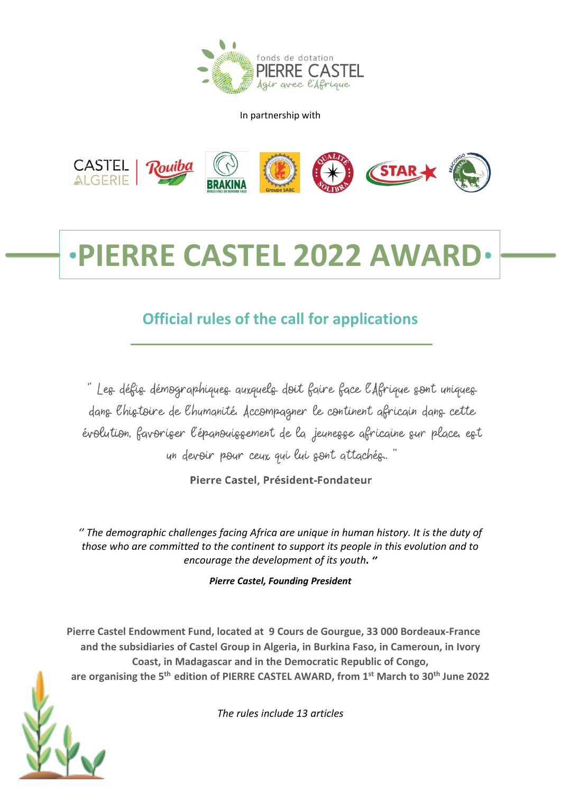

In partnership with



# **PIERRE CASTEL 2022 AWAR**

# **Official rules of the call for applications**

"Les défis démographiques auxquels doit faire face l'Afrique sont uniques dans Chistoire de Chumanité. Accompagner le continent africain dans cette évolution, favoriser l'épanouissement de la jeunesse africaine sur place, est un devoir pour ceux qui lui sont attachés."

Pierre Castel, Président-Fondateur

*'' The demographic challenges facing Africa are unique in human history. It is the duty of those who are committed to the continent to support its people in this evolution and to encourage the development of its youth. ''*

*Pierre Castel, Founding President*

**Pierre Castel Endowment Fund, located at 9 Cours de Gourgue, 33 000 Bordeaux-France and the subsidiaries of Castel Group in Algeria, in Burkina Faso, in Cameroun, in Ivory Coast, in Madagascar and in the Democratic Republic of Congo, are organising the 5 th edition of PIERRE CASTEL AWARD, from 1 st March to 30 th June 2022**

*The rules include 13 articles*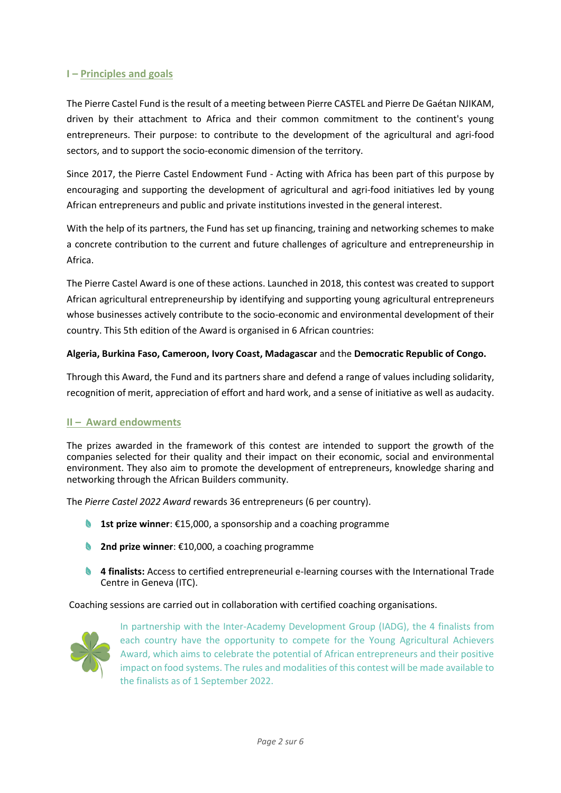# **I – Principles and goals**

The Pierre Castel Fund is the result of a meeting between Pierre CASTEL and Pierre De Gaétan NJIKAM, driven by their attachment to Africa and their common commitment to the continent's young entrepreneurs. Their purpose: to contribute to the development of the agricultural and agri-food sectors, and to support the socio-economic dimension of the territory.

Since 2017, the Pierre Castel Endowment Fund - Acting with Africa has been part of this purpose by encouraging and supporting the development of agricultural and agri-food initiatives led by young African entrepreneurs and public and private institutions invested in the general interest.

With the help of its partners, the Fund has set up financing, training and networking schemes to make a concrete contribution to the current and future challenges of agriculture and entrepreneurship in Africa.

The Pierre Castel Award is one of these actions. Launched in 2018, this contest was created to support African agricultural entrepreneurship by identifying and supporting young agricultural entrepreneurs whose businesses actively contribute to the socio-economic and environmental development of their country. This 5th edition of the Award is organised in 6 African countries:

# **Algeria, Burkina Faso, Cameroon, Ivory Coast, Madagascar** and the **Democratic Republic of Congo.**

Through this Award, the Fund and its partners share and defend a range of values including solidarity, recognition of merit, appreciation of effort and hard work, and a sense of initiative as well as audacity.

# **II – Award endowments**

The prizes awarded in the framework of this contest are intended to support the growth of the companies selected for their quality and their impact on their economic, social and environmental environment. They also aim to promote the development of entrepreneurs, knowledge sharing and networking through the African Builders community.

The *Pierre Castel 2022 Award* rewards 36 entrepreneurs (6 per country).

- **1st prize winner**: €15,000, a sponsorship and a coaching programme
- **2nd prize winner**: €10,000, a coaching programme
- **4 finalists:** Access to certified entrepreneurial e-learning courses with the International Trade Centre in Geneva (ITC).

Coaching sessions are carried out in collaboration with certified coaching organisations.



In partnership with the Inter-Academy Development Group (IADG), the 4 finalists from each country have the opportunity to compete for the Young Agricultural Achievers Award, which aims to celebrate the potential of African entrepreneurs and their positive impact on food systems. The rules and modalities of this contest will be made available to the finalists as of 1 September 2022.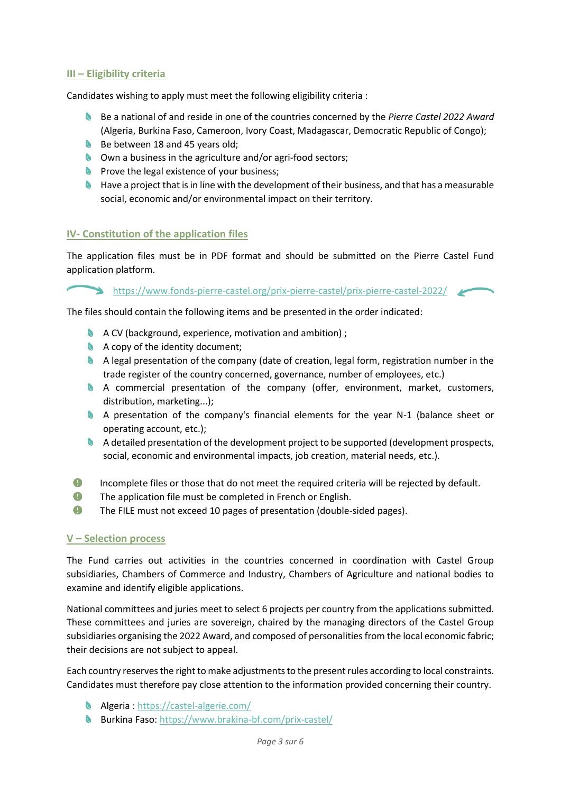# **III – Eligibility criteria**

Candidates wishing to apply must meet the following eligibility criteria :

- Be a national of and reside in one of the countries concerned by the *Pierre Castel 2022 Award* (Algeria, Burkina Faso, Cameroon, Ivory Coast, Madagascar, Democratic Republic of Congo);
- Be between 18 and 45 years old;
- Own a business in the agriculture and/or agri-food sectors;
- $\bullet$  Prove the legal existence of your business:
- **N** Have a project that is in line with the development of their business, and that has a measurable social, economic and/or environmental impact on their territory.

#### **IV- Constitution of the application files**

The application files must be in PDF format and should be submitted on the Pierre Castel Fund application platform.

<https://www.fonds-pierre-castel.org/prix-pierre-castel/prix-pierre-castel-2022/>

The files should contain the following items and be presented in the order indicated:

- **A** A CV (background, experience, motivation and ambition) ;
- A copy of the identity document;
- A legal presentation of the company (date of creation, legal form, registration number in the trade register of the country concerned, governance, number of employees, etc.)
- A commercial presentation of the company (offer, environment, market, customers, distribution, marketing...);
- A presentation of the company's financial elements for the year N-1 (balance sheet or operating account, etc.);
- A detailed presentation of the development project to be supported (development prospects, social, economic and environmental impacts, job creation, material needs, etc.).
- $\bullet$ Incomplete files or those that do not meet the required criteria will be rejected by default.
- $\bullet$ The application file must be completed in French or English.
- $\bullet$ The FILE must not exceed 10 pages of presentation (double-sided pages).

#### **V – Selection process**

The Fund carries out activities in the countries concerned in coordination with Castel Group subsidiaries, Chambers of Commerce and Industry, Chambers of Agriculture and national bodies to examine and identify eligible applications.

National committees and juries meet to select 6 projects per country from the applications submitted. These committees and juries are sovereign, chaired by the managing directors of the Castel Group subsidiaries organising the 2022 Award, and composed of personalities from the local economic fabric; their decisions are not subject to appeal.

Each country reserves the right to make adjustments to the present rules according to local constraints. Candidates must therefore pay close attention to the information provided concerning their country.

- Algeria :<https://castel-algerie.com/>
- **Burkina Faso:<https://www.brakina-bf.com/prix-castel/>**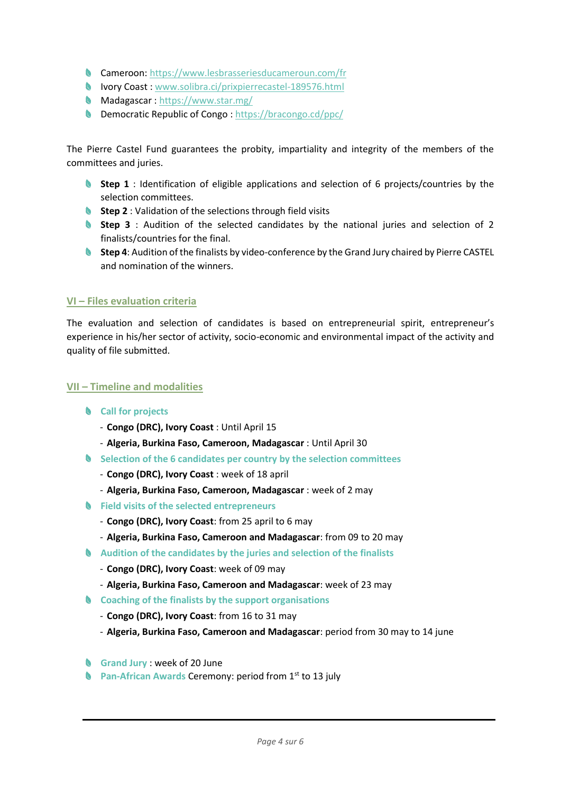- Cameroon:<https://www.lesbrasseriesducameroun.com/fr>
- Ivory Coast [: www.solibra.ci/prixpierrecastel-189576.html](http://www.solibra.ci/prixpierrecastel-189576.html)
- Madagascar :<https://www.star.mg/>
- **Democratic Republic of Congo[: https://bracongo.cd/ppc/](https://bracongo.cd/ppc/)**

The Pierre Castel Fund guarantees the probity, impartiality and integrity of the members of the committees and juries.

- **Step 1** : Identification of eligible applications and selection of 6 projects/countries by the selection committees.
- **Step 2** : Validation of the selections through field visits
- **Step 3** : Audition of the selected candidates by the national juries and selection of 2 finalists/countries for the final.
- **Step 4**: Audition of the finalists by video-conference by the Grand Jury chaired by Pierre CASTEL and nomination of the winners.

# **VI – Files evaluation criteria**

The evaluation and selection of candidates is based on entrepreneurial spirit, entrepreneur's experience in his/her sector of activity, socio-economic and environmental impact of the activity and quality of file submitted.

#### **VII – Timeline and modalities**

- **Call for projects**
	- **Congo (DRC), Ivory Coast** : Until April 15
	- **Algeria, Burkina Faso, Cameroon, Madagascar** : Until April 30
- **Selection of the 6 candidates per country by the selection committees**
	- **Congo (DRC), Ivory Coast** : week of 18 april
	- **Algeria, Burkina Faso, Cameroon, Madagascar** : week of 2 may
- **Field visits of the selected entrepreneurs**
	- **Congo (DRC), Ivory Coast**: from 25 april to 6 may
	- **Algeria, Burkina Faso, Cameroon and Madagascar**: from 09 to 20 may
- **Audition of the candidates by the juries and selection of the finalists** 
	- **Congo (DRC), Ivory Coast**: week of 09 may
	- **Algeria, Burkina Faso, Cameroon and Madagascar**: week of 23 may
- **Coaching of the finalists by the support organisations** 
	- **Congo (DRC), Ivory Coast**: from 16 to 31 may
	- **Algeria, Burkina Faso, Cameroon and Madagascar**: period from 30 may to 14 june
- **Grand Jury** : week of 20 June
- Pan-African Awards Ceremony: period from 1<sup>st</sup> to 13 july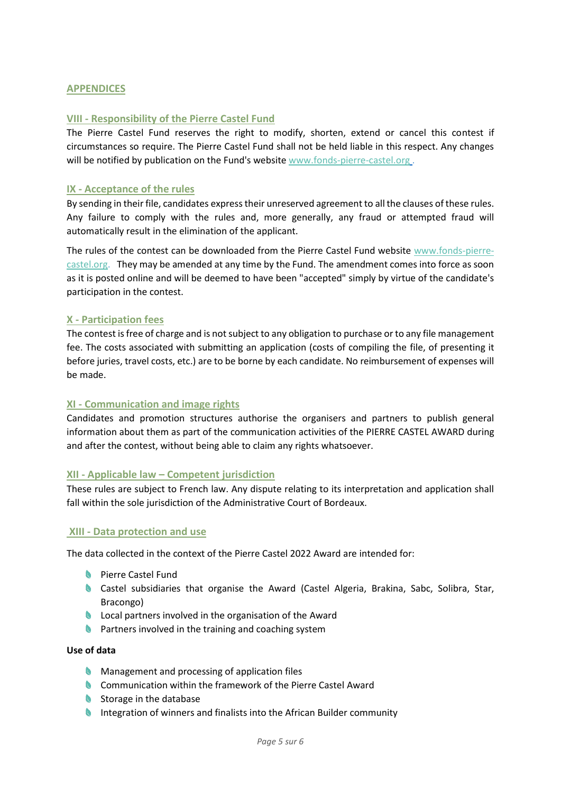### **APPENDICES**

#### **VIII - Responsibility of the Pierre Castel Fund**

The Pierre Castel Fund reserves the right to modify, shorten, extend or cancel this contest if circumstances so require. The Pierre Castel Fund shall not be held liable in this respect. Any changes will be notified by publication on the Fund's website [www.fonds-pierre-castel.org](http://www.fonds-pierre-castel.org/).

#### **IX - Acceptance of the rules**

By sending in their file, candidates express their unreserved agreement to all the clauses of these rules. Any failure to comply with the rules and, more generally, any fraud or attempted fraud will automatically result in the elimination of the applicant.

The rules of the contest can be downloaded from the Pierre Castel Fund website [www.fonds-pierre](http://www.fonds-pierre-castel.org/)[castel.org.](http://www.fonds-pierre-castel.org/) They may be amended at any time by the Fund. The amendment comes into force as soon as it is posted online and will be deemed to have been "accepted" simply by virtue of the candidate's participation in the contest.

#### **X - Participation fees**

The contest is free of charge and is not subject to any obligation to purchase or to any file management fee. The costs associated with submitting an application (costs of compiling the file, of presenting it before juries, travel costs, etc.) are to be borne by each candidate. No reimbursement of expenses will be made.

# **XI - Communication and image rights**

Candidates and promotion structures authorise the organisers and partners to publish general information about them as part of the communication activities of the PIERRE CASTEL AWARD during and after the contest, without being able to claim any rights whatsoever.

#### **XII - Applicable law – Competent jurisdiction**

These rules are subject to French law. Any dispute relating to its interpretation and application shall fall within the sole jurisdiction of the Administrative Court of Bordeaux.

#### **XIII - Data protection and use**

The data collected in the context of the Pierre Castel 2022 Award are intended for:

- Pierre Castel Fund
- **Castel subsidiaries that organise the Award (Castel Algeria, Brakina, Sabc, Solibra, Star,** Bracongo)
- **Local partners involved in the organisation of the Award**
- **A** Partners involved in the training and coaching system

#### **Use of data**

- **Management and processing of application files**
- **Communication within the framework of the Pierre Castel Award**
- Storage in the database
- **Integration of winners and finalists into the African Builder community**